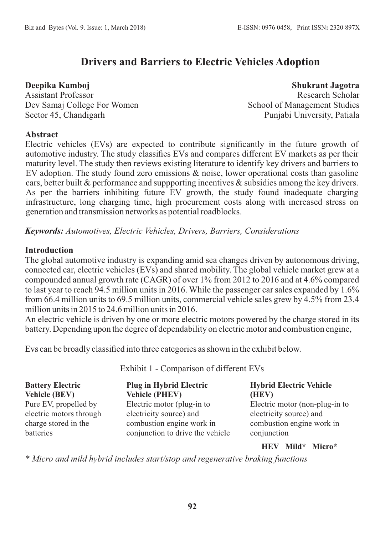# **Drivers and Barriers to Electric Vehicles Adoption**

**Deepika Kamboj** Assistant Professor Dev Samaj College For Women Sector 45, Chandigarh

**Shukrant Jagotra** Research Scholar School of Management Studies Punjabi University, Patiala

#### **Abstract**

Electric vehicles (EVs) are expected to contribute significantly in the future growth of automotive industry. The study classifies EVs and compares different EV markets as per their maturity level. The study then reviews existing literature to identify key drivers and barriers to EV adoption. The study found zero emissions & noise, lower operational costs than gasoline cars, better built & performance and suppporting incentives & subsidies among the key drivers. As per the barriers inhibiting future EV growth, the study found inadequate charging infrastructure, long charging time, high procurement costs along with increased stress on generation and transmission networks as potential roadblocks.

*Keywords: Automotives, Electric Vehicles, Drivers, Barriers, Considerations*

### **Introduction**

The global automotive industry is expanding amid sea changes driven by autonomous driving, connected car, electric vehicles (EVs) and shared mobility. The global vehicle market grew at a compounded annual growth rate (CAGR) of over 1% from 2012 to 2016 and at 4.6% compared to last year to reach 94.5 million units in 2016. While the passenger car sales expanded by 1.6% from 66.4 million units to 69.5 million units, commercial vehicle sales grew by 4.5% from 23.4 million units in 2015 to 24.6 million units in 2016.

An electric vehicle is driven by one or more electric motors powered by the charge stored in its battery. Depending upon the degree of dependability on electric motor and combustion engine,

Evs can be broadly classified into three categories as shown in the exhibit below.

| <b>Battery Electric</b> | <b>Plug in Hybrid Electric</b>   | <b>Hybrid Electric Vehicle</b>                                                                   |
|-------------------------|----------------------------------|--------------------------------------------------------------------------------------------------|
| <b>Vehicle (BEV)</b>    | <b>Vehicle (PHEV)</b>            | (HEV)                                                                                            |
| Pure EV, propelled by   | Electric motor (plug-in to       | Electric motor (non-plug-in to                                                                   |
| electric motors through | electricity source) and          | electricity source) and                                                                          |
| charge stored in the    | combustion engine work in        | combustion engine work in                                                                        |
| batteries               | conjunction to drive the vehicle | conjunction                                                                                      |
|                         |                                  | $\mathbf{X}$ and $\mathbf{X}$ and $\mathbf{X}$ and $\mathbf{X}$ and $\mathbf{X}$<br>$\mathbf{r}$ |

Exhibit 1 - Comparison of different EVs

**HEV Mild\* Micro\***

*\* Micro and mild hybrid includes start/stop and regenerative braking functions*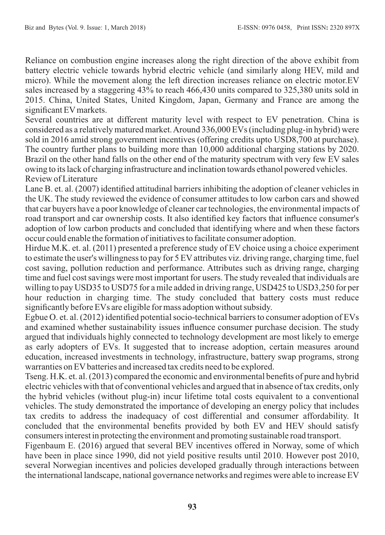Reliance on combustion engine increases along the right direction of the above exhibit from battery electric vehicle towards hybrid electric vehicle (and similarly along HEV, mild and micro). While the movement along the left direction increases reliance on electric motor.EV sales increased by a staggering 43% to reach 466,430 units compared to 325,380 units sold in 2015. China, United States, United Kingdom, Japan, Germany and France are among the significant EV markets.

Several countries are at different maturity level with respect to EV penetration. China is considered as a relatively matured market. Around 336,000 EVs (including plug-in hybrid) were sold in 2016 amid strong government incentives (offering credits upto USD8,700 at purchase). The country further plans to building more than 10,000 additional charging stations by 2020. Brazil on the other hand falls on the other end of the maturity spectrum with very few EV sales owing to its lack of charging infrastructure and inclination towards ethanol powered vehicles. Review of Literature

Lane B. et. al. (2007) identified attitudinal barriers inhibiting the adoption of cleaner vehicles in the UK. The study reviewed the evidence of consumer attitudes to low carbon cars and showed that car buyers have a poor knowledge of cleaner car technologies, the environmental impacts of road transport and car ownership costs. It also identified key factors that influence consumer's adoption of low carbon products and concluded that identifying where and when these factors occur could enable the formation of initiatives to facilitate consumer adoption.

Hirdue M.K. et. al. (2011) presented a preference study of EV choice using a choice experiment to estimate the user's willingness to pay for 5 EV attributes viz. driving range, charging time, fuel cost saving, pollution reduction and performance. Attributes such as driving range, charging time and fuel cost savings were most important for users. The study revealed that individuals are willing to pay USD35 to USD75 for a mile added in driving range, USD425 to USD3,250 for per hour reduction in charging time. The study concluded that battery costs must reduce significantly before EVs are eligible for mass adoption without subsidy.

Egbue O. et. al. (2012) identified potential socio-technical barriers to consumer adoption of EVs and examined whether sustainability issues influence consumer purchase decision. The study argued that individuals highly connected to technology development are most likely to emerge as early adopters of EVs. It suggested that to increase adoption, certain measures around education, increased investments in technology, infrastructure, battery swap programs, strong warranties on EV batteries and increased tax credits need to be explored.

Tseng. H.K. et. al. (2013) compared the economic and environmental benefits of pure and hybrid electric vehicles with that of conventional vehicles and argued that in absence of tax credits, only the hybrid vehicles (without plug-in) incur lifetime total costs equivalent to a conventional vehicles. The study demonstrated the importance of developing an energy policy that includes tax credits to address the inadequacy of cost differential and consumer affordability. It concluded that the environmental benefits provided by both EV and HEV should satisfy consumers interest in protecting the environment and promoting sustainable road transport.

Figenbaum E. (2016) argued that several BEV incentives offered in Norway, some of which have been in place since 1990, did not yield positive results until 2010. However post 2010, several Norwegian incentives and policies developed gradually through interactions between the international landscape, national governance networks and regimes were able to increase EV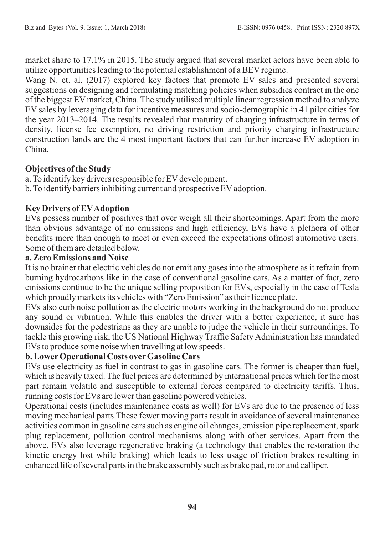market share to 17.1% in 2015. The study argued that several market actors have been able to utilize opportunities leading to the potential establishment of a BEVregime.

Wang N. et. al. (2017) explored key factors that promote EV sales and presented several suggestions on designing and formulating matching policies when subsidies contract in the one of the biggest EVmarket, China. The study utilised multiple linear regression method to analyze EV sales by leveraging data for incentive measures and socio-demographic in 41 pilot cities for the year 2013–2014. The results revealed that maturity of charging infrastructure in terms of density, license fee exemption, no driving restriction and priority charging infrastructure construction lands are the 4 most important factors that can further increase EV adoption in China.

# **Objectives of the Study**

a. To identify key drivers responsible for EV development.

b. To identify barriers inhibiting current and prospective EV adoption.

# **Key Drivers of EVAdoption**

EVs possess number of positives that over weigh all their shortcomings. Apart from the more than obvious advantage of no emissions and high efficiency, EVs have a plethora of other benefits more than enough to meet or even exceed the expectations ofmost automotive users. Some of them are detailed below.

# **a. Zero Emissions and Noise**

It is no brainer that electric vehicles do not emit any gases into the atmosphere as it refrain from burning hydrocarbons like in the case of conventional gasoline cars. As a matter of fact, zero emissions continue to be the unique selling proposition for EVs, especially in the case of Tesla which proudly markets its vehicles with "Zero Emission" as their licence plate.

EVs also curb noise pollution as the electric motors working in the background do not produce any sound or vibration. While this enables the driver with a better experience, it sure has downsides for the pedestrians as they are unable to judge the vehicle in their surroundings. To tackle this growing risk, the US National Highway Traffic Safety Administration has mandated EVs to produce some noise when travelling at low speeds.

# **b. LowerOperational Costs overGasoline Cars**

EVs use electricity as fuel in contrast to gas in gasoline cars. The former is cheaper than fuel, which is heavily taxed. The fuel prices are determined by international prices which for the most part remain volatile and susceptible to external forces compared to electricity tariffs. Thus, running costs for EVs are lower than gasoline powered vehicles.

Operational costs (includes maintenance costs as well) for EVs are due to the presence of less moving mechanical parts.These fewer moving parts result in avoidance of several maintenance activities common in gasoline cars such as engine oil changes, emission pipe replacement, spark plug replacement, pollution control mechanisms along with other services. Apart from the above, EVs also leverage regenerative braking (a technology that enables the restoration the kinetic energy lost while braking) which leads to less usage of friction brakes resulting in enhanced life of several parts in the brake assembly such as brake pad, rotor and calliper.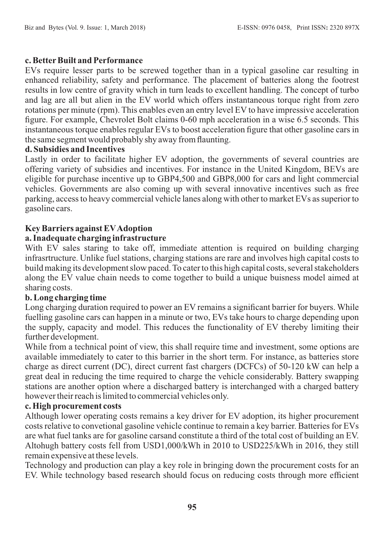### **c. BetterBuilt and Performance**

EVs require lesser parts to be screwed together than in a typical gasoline car resulting in enhanced reliability, safety and performance. The placement of batteries along the footrest results in low centre of gravity which in turn leads to excellent handling. The concept of turbo and lag are all but alien in the EV world which offers instantaneous torque right from zero rotations per minute (rpm). This enables even an entry level EV to have impressive acceleration figure. For example, Chevrolet Bolt claims 0-60 mph acceleration in a wise 6.5 seconds. This instantaneous torque enables regular EVs to boost acceleration figure that other gasoline cars in the same segment would probably shy away from flaunting.

#### **d. Subsidies and Incentives**

Lastly in order to facilitate higher EV adoption, the governments of several countries are offering variety of subsidies and incentives. For instance in the United Kingdom, BEVs are eligible for purchase incentive up to GBP4,500 and GBP8,000 for cars and light commercial vehicles. Governments are also coming up with several innovative incentives such as free parking, access to heavy commercial vehicle lanes along with other to market EVs as superior to gasoline cars.

### **Key Barriers against EVAdoption**

## **a. Inadequate charging infrastructure**

With  $E\vec{V}$  sales staring to take off, immediate attention is required on building charging infrasrtructure. Unlike fuel stations, charging stations are rare and involves high capital costs to build making its development slow paced. To cater to this high capital costs, several stakeholders along the EV value chain needs to come together to build a unique buisness model aimed at sharing costs.

### **b. Long charging time**

Long charging duration required to power an EV remains a significant barrier for buyers. While fuelling gasoline cars can happen in a minute or two, EVs take hours to charge depending upon the supply, capacity and model. This reduces the functionality of EV thereby limiting their further development.

While from a technical point of view, this shall require time and investment, some options are available immediately to cater to this barrier in the short term. For instance, as batteries store charge as direct current (DC), direct current fast chargers (DCFCs) of 50-120 kW can help a great deal in reducing the time required to charge the vehicle considerably. Battery swapping stations are another option where a discharged battery is interchanged with a charged battery however their reach is limited to commercial vehicles only.

#### **c. High procurement costs**

Although lower operating costs remains a key driver for EV adoption, its higher procurement costs relative to convetional gasoline vehicle continue to remain a key barrier. Batteries for EVs are what fuel tanks are for gasoline carsand constitute a third of the total cost of building an EV. Altohugh battery costs fell from USD1,000/kWh in 2010 to USD225/kWh in 2016, they still remain expensive at these levels.

Technology and production can play a key role in bringing down the procurement costs for an EV. While technology based research should focus on reducing costs through more efficient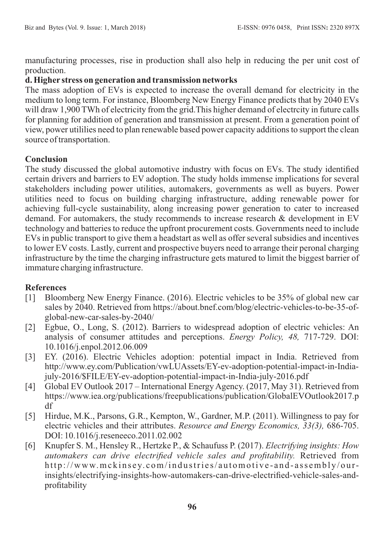manufacturing processes, rise in production shall also help in reducing the per unit cost of production.

### **d. Higher stress on generation and transmission networks**

The mass adoption of EVs is expected to increase the overall demand for electricity in the medium to long term. For instance, Bloomberg New Energy Finance predicts that by 2040 EVs will draw 1,900 TWh of electricity from the grid. This higher demand of electrcity in future calls for planning for addition of generation and transmission at present. From a generation point of view, power utililies need to plan renewable based power capacity additions to support the clean source of transportation.

### **Conclusion**

The study discussed the global automotive industry with focus on EVs. The study identified certain drivers and barriers to EV adoption. The study holds immense implications for several stakeholders including power utilities, automakers, governments as well as buyers. Power utilities need to focus on building charging infrastructure, adding renewable power for achieving full-cycle sustainability, along increasing power generation to cater to increased demand. For automakers, the study recommends to increase research & development in EV technology and batteries to reduce the upfront procurement costs. Governments need to include EVs in public transport to give them a headstart as well as offer several subsidies and incentives to lower EV costs. Lastly, current and prospective buyers need to arrange their peronal charging infrastructure by the time the charging infrastructure gets matured to limit the biggest barrier of immature charging infrastructure.

# **References**

- [1] Bloomberg New Energy Finance. (2016). Electric vehicles to be 35% of global new car sales by 2040. Retrieved from https://about.bnef.com/blog/electric-vehicles-to-be-35-ofglobal-new-car-sales-by-2040/
- [2] Egbue, O., Long, S. (2012). Barriers to widespread adoption of electric vehicles: An analysis of consumer attitudes and perceptions. *Energy Policy, 48,* 717-729. DOI: 10.1016/j.enpol.2012.06.009
- [3] EY. (2016). Electric Vehicles adoption: potential impact in India. Retrieved from http://www.ey.com/Publication/vwLUAssets/EY-ev-adoption-potential-impact-in-Indiajuly-2016/\$FILE/EY-ev-adoption-potential-impact-in-India-july-2016.pdf
- [4] Global EV Outlook 2017 International Energy Agency. (2017, May 31). Retrieved from https://www.iea.org/publications/freepublications/publication/GlobalEVOutlook2017.p df
- [5] Hirdue, M.K., Parsons, G.R., Kempton, W., Gardner, M.P. (2011). Willingness to pay for electric vehicles and their attributes. *Resource and Energy Economics, 33(3),* 686-705. DOI: 10.1016/j.reseneeco.2011.02.002
- [6] Knupfer S. M., Hensley R., Hertzke P., & Schaufuss P. (2017). *Electrifying insights: How automakers can drive electrified vehicle sales and profitability.* Retrieved from http://www.mckinsey.com/industries/automotive-and-assembly/ourinsights/electrifying-insights-how-automakers-can-drive-electrified-vehicle-sales-andprofitability